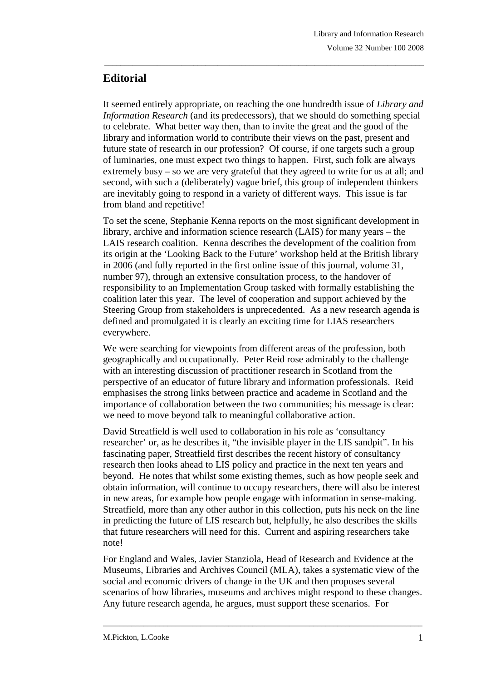## **Editorial**

It seemed entirely appropriate, on reaching the one hundredth issue of *Library and Information Research* (and its predecessors), that we should do something special to celebrate. What better way then, than to invite the great and the good of the library and information world to contribute their views on the past, present and future state of research in our profession? Of course, if one targets such a group of luminaries, one must expect two things to happen. First, such folk are always extremely busy – so we are very grateful that they agreed to write for us at all; and second, with such a (deliberately) vague brief, this group of independent thinkers are inevitably going to respond in a variety of different ways. This issue is far from bland and repetitive!

\_\_\_\_\_\_\_\_\_\_\_\_\_\_\_\_\_\_\_\_\_\_\_\_\_\_\_\_\_\_\_\_\_\_\_\_\_\_\_\_\_\_\_\_\_\_\_\_\_\_\_\_\_\_\_\_\_\_\_\_\_\_\_\_\_\_\_\_\_\_\_\_\_\_\_\_\_\_\_

To set the scene, Stephanie Kenna reports on the most significant development in library, archive and information science research (LAIS) for many years – the LAIS research coalition. Kenna describes the development of the coalition from its origin at the 'Looking Back to the Future' workshop held at the British library in 2006 (and fully reported in the first online issue of this journal, volume 31, number 97), through an extensive consultation process, to the handover of responsibility to an Implementation Group tasked with formally establishing the coalition later this year. The level of cooperation and support achieved by the Steering Group from stakeholders is unprecedented. As a new research agenda is defined and promulgated it is clearly an exciting time for LIAS researchers everywhere.

We were searching for viewpoints from different areas of the profession, both geographically and occupationally. Peter Reid rose admirably to the challenge with an interesting discussion of practitioner research in Scotland from the perspective of an educator of future library and information professionals. Reid emphasises the strong links between practice and academe in Scotland and the importance of collaboration between the two communities; his message is clear: we need to move beyond talk to meaningful collaborative action.

David Streatfield is well used to collaboration in his role as 'consultancy researcher' or, as he describes it, "the invisible player in the LIS sandpit". In his fascinating paper, Streatfield first describes the recent history of consultancy research then looks ahead to LIS policy and practice in the next ten years and beyond. He notes that whilst some existing themes, such as how people seek and obtain information, will continue to occupy researchers, there will also be interest in new areas, for example how people engage with information in sense-making. Streatfield, more than any other author in this collection, puts his neck on the line in predicting the future of LIS research but, helpfully, he also describes the skills that future researchers will need for this. Current and aspiring researchers take note!

For England and Wales, Javier Stanziola, Head of Research and Evidence at the Museums, Libraries and Archives Council (MLA), takes a systematic view of the social and economic drivers of change in the UK and then proposes several scenarios of how libraries, museums and archives might respond to these changes. Any future research agenda, he argues, must support these scenarios. For

\_\_\_\_\_\_\_\_\_\_\_\_\_\_\_\_\_\_\_\_\_\_\_\_\_\_\_\_\_\_\_\_\_\_\_\_\_\_\_\_\_\_\_\_\_\_\_\_\_\_\_\_\_\_\_\_\_\_\_\_\_\_\_\_\_\_\_\_\_\_\_\_\_\_\_\_\_\_\_